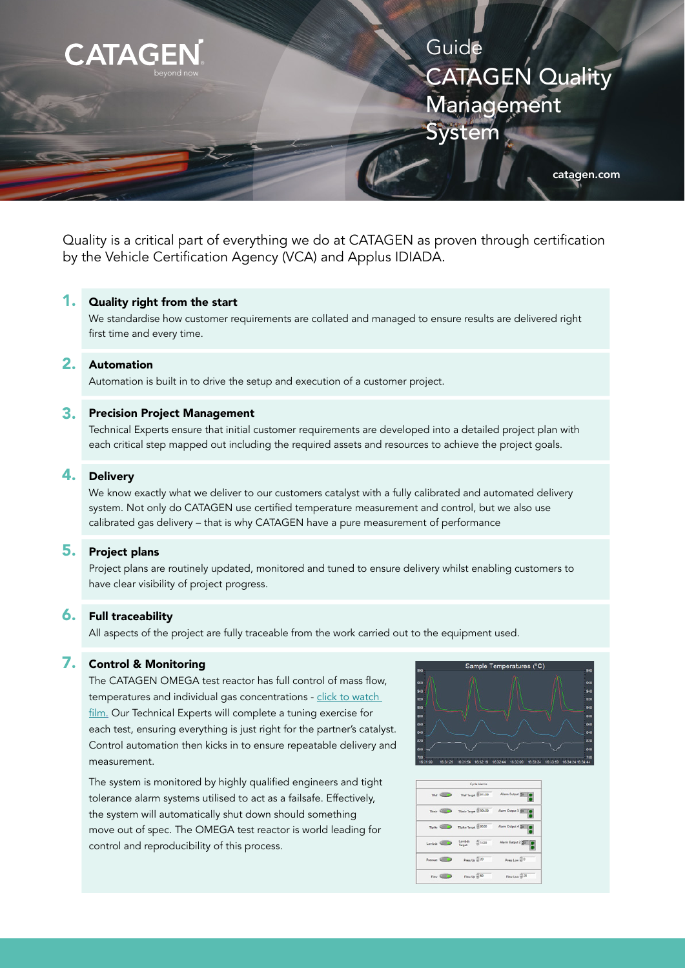

Quality is a critical part of everything we do at CATAGEN as proven through certification by the Vehicle Certification Agency (VCA) and Applus IDIADA.

### 1. Quality right from the start

We standardise how customer requirements are collated and managed to ensure results are delivered right first time and every time.

### $2<sub>-</sub>$ Automation

Automation is built in to drive the setup and execution of a customer project.

### 3. Precision Project Management

Technical Experts ensure that initial customer requirements are developed into a detailed project plan with each critical step mapped out including the required assets and resources to achieve the project goals.

### 4. Delivery

We know exactly what we deliver to our customers catalyst with a fully calibrated and automated delivery system. Not only do CATAGEN use certified temperature measurement and control, but we also use calibrated gas delivery – that is why CATAGEN have a pure measurement of performance

# 5. Project plans

Project plans are routinely updated, monitored and tuned to ensure delivery whilst enabling customers to have clear visibility of project progress.

#### 6. Full traceability

All aspects of the project are fully traceable from the work carried out to the equipment used.

### 7. Control & Monitoring

The CATAGEN OMEGA test reactor has full control of mass flow, temperatures and individual gas concentrations - click to watch [film](https://youtu.be/50tLnHUN4qg). Our Technical Experts will complete a tuning exercise for each test, ensuring everything is just right for the partner's catalyst. Control automation then kicks in to ensure repeatable delivery and measurement.

The system is monitored by highly qualified engineers and tight tolerance alarm systems utilised to act as a failsafe. Effectively, the system will automatically shut down should something move out of spec. The OMEGA test reactor is world leading for control and reproducibility of this process.